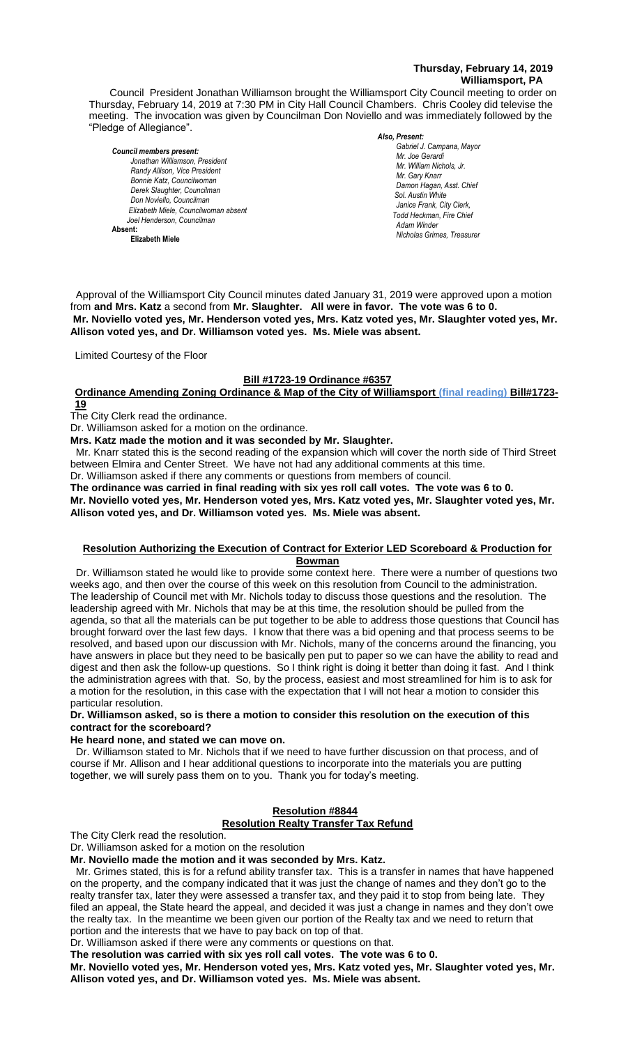# **Thursday, February 14, 2019 Williamsport, PA**

Council President Jonathan Williamson brought the Williamsport City Council meeting to order on Thursday, February 14, 2019 at 7:30 PM in City Hall Council Chambers. Chris Cooley did televise the meeting. The invocation was given by Councilman Don Noviello and was immediately followed by the "Pledge of Allegiance".

*Council members present: Jonathan Williamson, President*  **Randy Allison, Vice President Bill Hall, Council Hall, Council Bill Hall, Council Bill Hall, Cary Knarr**<br>Bill Hall, Cary Knarr *Bonnie Katz, Councilwoman Derek Slaughter, Councilman Don Noviello, Councilman Elizabeth Miele, Councilwoman absent Joel Henderson, Councilman*  **Absent: Elizabeth Miele**

*Also, Present:* 

*Gabriel J. Campana, Mayor Mr. William Nichols, Jr. Mr. Joe Gerardi Mr. Joseph Pawlak Mr. William Nichols, Jr. Mr. Joe Pawlak Mr. Gary Knarr* Adam Winder *C. Dean Heinrich, Fire Chieffer Chieffer Chieffer Chieffer Chieffer Chieffer Chieffer Chieffer Chieffer Chieffer Chieffer Chieffer Chieffer Chieffer Chieffer Chieffer Chieffer Chieffer Chie Damon Hagan, Asst. Chief Chief Heinbach absent Sol. Austin White Janice Frank, City Clerk, Todd Heckman, Fire Chief Adam Winder Nicholas Grimes, Treasurer Mr. Joe Pawlak*

Approval of the Williamsport City Council minutes dated January 31, 2019 were approved upon a motion from and Mrs. Katz a second from Mr. Slaughter. All were in favor. The vote was 6 to 0. rem and mror nail a cocona nom inn olaagmon. The nore in favoriting you had one on<br>Mr. Noviello voted yes, Mr. Henderson voted yes, Mrs. Katz voted yes, Mr. Slaughter voted yes, Mr. **Allison voted yes, and Dr. Williamson voted yes. Ms. Miele was absent.** *Janice Frank, City Clerk, absent Sol. J. David Smith*

Limited Courtesy of the Floor

# **Bill #1723-19 Ordinance #6357**

**Ordinance Amending Zoning Ordinance & Map of the City of Williamsport (final reading) Bill#1723- 19**

The City Clerk read the ordinance.

Dr. Williamson asked for a motion on the ordinance.

**Mrs. Katz made the motion and it was seconded by Mr. Slaughter.**

 Mr. Knarr stated this is the second reading of the expansion which will cover the north side of Third Street between Elmira and Center Street. We have not had any additional comments at this time.

Dr. Williamson asked if there any comments or questions from members of council.

**The ordinance was carried in final reading with six yes roll call votes. The vote was 6 to 0. Mr. Noviello voted yes, Mr. Henderson voted yes, Mrs. Katz voted yes, Mr. Slaughter voted yes, Mr. Allison voted yes, and Dr. Williamson voted yes. Ms. Miele was absent.**

## **Resolution Authorizing the Execution of Contract for Exterior LED Scoreboard & Production for Bowman**

 Dr. Williamson stated he would like to provide some context here. There were a number of questions two weeks ago, and then over the course of this week on this resolution from Council to the administration. The leadership of Council met with Mr. Nichols today to discuss those questions and the resolution. The leadership agreed with Mr. Nichols that may be at this time, the resolution should be pulled from the agenda, so that all the materials can be put together to be able to address those questions that Council has brought forward over the last few days. I know that there was a bid opening and that process seems to be resolved, and based upon our discussion with Mr. Nichols, many of the concerns around the financing, you have answers in place but they need to be basically pen put to paper so we can have the ability to read and digest and then ask the follow-up questions. So I think right is doing it better than doing it fast. And I think the administration agrees with that. So, by the process, easiest and most streamlined for him is to ask for a motion for the resolution, in this case with the expectation that I will not hear a motion to consider this particular resolution.

# **Dr. Williamson asked, so is there a motion to consider this resolution on the execution of this contract for the scoreboard?**

## **He heard none, and stated we can move on.**

 Dr. Williamson stated to Mr. Nichols that if we need to have further discussion on that process, and of course if Mr. Allison and I hear additional questions to incorporate into the materials you are putting together, we will surely pass them on to you. Thank you for today's meeting.

# **Resolution #8844**

**Resolution Realty Transfer Tax Refund**

The City Clerk read the resolution.

Dr. Williamson asked for a motion on the resolution

**Mr. Noviello made the motion and it was seconded by Mrs. Katz.**

 Mr. Grimes stated, this is for a refund ability transfer tax. This is a transfer in names that have happened on the property, and the company indicated that it was just the change of names and they don't go to the realty transfer tax, later they were assessed a transfer tax, and they paid it to stop from being late. They filed an appeal, the State heard the appeal, and decided it was just a change in names and they don't owe the realty tax. In the meantime we been given our portion of the Realty tax and we need to return that portion and the interests that we have to pay back on top of that.

Dr. Williamson asked if there were any comments or questions on that.

**The resolution was carried with six yes roll call votes. The vote was 6 to 0.**

**Mr. Noviello voted yes, Mr. Henderson voted yes, Mrs. Katz voted yes, Mr. Slaughter voted yes, Mr. Allison voted yes, and Dr. Williamson voted yes. Ms. Miele was absent.**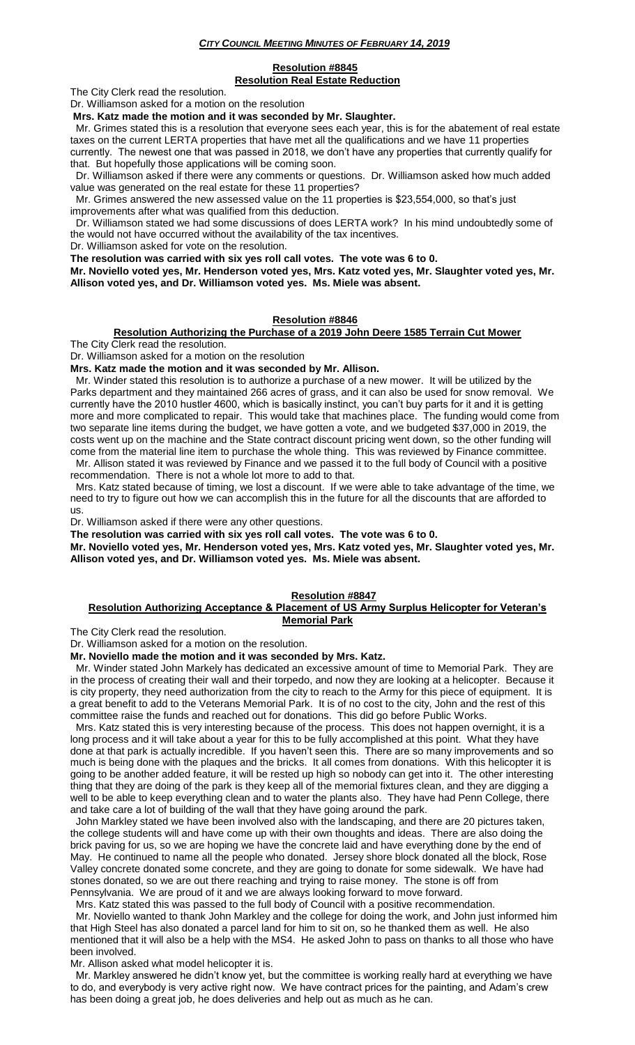### *CITY COUNCIL MEETING MINUTES OF FEBRUARY 14, 2019*

### **Resolution #8845 Resolution Real Estate Reduction**

The City Clerk read the resolution.

Dr. Williamson asked for a motion on the resolution

**Mrs. Katz made the motion and it was seconded by Mr. Slaughter.**

 Mr. Grimes stated this is a resolution that everyone sees each year, this is for the abatement of real estate taxes on the current LERTA properties that have met all the qualifications and we have 11 properties currently. The newest one that was passed in 2018, we don't have any properties that currently qualify for that. But hopefully those applications will be coming soon.

 Dr. Williamson asked if there were any comments or questions. Dr. Williamson asked how much added value was generated on the real estate for these 11 properties?

 Mr. Grimes answered the new assessed value on the 11 properties is \$23,554,000, so that's just improvements after what was qualified from this deduction.

 Dr. Williamson stated we had some discussions of does LERTA work? In his mind undoubtedly some of the would not have occurred without the availability of the tax incentives.

Dr. Williamson asked for vote on the resolution.

**The resolution was carried with six yes roll call votes. The vote was 6 to 0.**

**Mr. Noviello voted yes, Mr. Henderson voted yes, Mrs. Katz voted yes, Mr. Slaughter voted yes, Mr. Allison voted yes, and Dr. Williamson voted yes. Ms. Miele was absent.**

## **Resolution #8846**

## **Resolution Authorizing the Purchase of a 2019 John Deere 1585 Terrain Cut Mower**

The City Clerk read the resolution.

Dr. Williamson asked for a motion on the resolution

**Mrs. Katz made the motion and it was seconded by Mr. Allison.**

 Mr. Winder stated this resolution is to authorize a purchase of a new mower. It will be utilized by the Parks department and they maintained 266 acres of grass, and it can also be used for snow removal. We currently have the 2010 hustler 4600, which is basically instinct, you can't buy parts for it and it is getting more and more complicated to repair. This would take that machines place. The funding would come from two separate line items during the budget, we have gotten a vote, and we budgeted \$37,000 in 2019, the costs went up on the machine and the State contract discount pricing went down, so the other funding will come from the material line item to purchase the whole thing. This was reviewed by Finance committee. Mr. Allison stated it was reviewed by Finance and we passed it to the full body of Council with a positive

recommendation. There is not a whole lot more to add to that.

 Mrs. Katz stated because of timing, we lost a discount. If we were able to take advantage of the time, we need to try to figure out how we can accomplish this in the future for all the discounts that are afforded to us.

Dr. Williamson asked if there were any other questions.

**The resolution was carried with six yes roll call votes. The vote was 6 to 0.**

**Mr. Noviello voted yes, Mr. Henderson voted yes, Mrs. Katz voted yes, Mr. Slaughter voted yes, Mr. Allison voted yes, and Dr. Williamson voted yes. Ms. Miele was absent.**

#### **Resolution #8847**

## **Resolution Authorizing Acceptance & Placement of US Army Surplus Helicopter for Veteran's Memorial Park**

The City Clerk read the resolution.

Dr. Williamson asked for a motion on the resolution.

**Mr. Noviello made the motion and it was seconded by Mrs. Katz.**

 Mr. Winder stated John Markely has dedicated an excessive amount of time to Memorial Park. They are in the process of creating their wall and their torpedo, and now they are looking at a helicopter. Because it is city property, they need authorization from the city to reach to the Army for this piece of equipment. It is a great benefit to add to the Veterans Memorial Park. It is of no cost to the city, John and the rest of this committee raise the funds and reached out for donations. This did go before Public Works.

 Mrs. Katz stated this is very interesting because of the process. This does not happen overnight, it is a long process and it will take about a year for this to be fully accomplished at this point. What they have done at that park is actually incredible. If you haven't seen this. There are so many improvements and so much is being done with the plaques and the bricks. It all comes from donations. With this helicopter it is going to be another added feature, it will be rested up high so nobody can get into it. The other interesting thing that they are doing of the park is they keep all of the memorial fixtures clean, and they are digging a well to be able to keep everything clean and to water the plants also. They have had Penn College, there and take care a lot of building of the wall that they have going around the park.

 John Markley stated we have been involved also with the landscaping, and there are 20 pictures taken, the college students will and have come up with their own thoughts and ideas. There are also doing the brick paving for us, so we are hoping we have the concrete laid and have everything done by the end of May. He continued to name all the people who donated. Jersey shore block donated all the block, Rose Valley concrete donated some concrete, and they are going to donate for some sidewalk. We have had stones donated, so we are out there reaching and trying to raise money. The stone is off from Pennsylvania. We are proud of it and we are always looking forward to move forward.

Mrs. Katz stated this was passed to the full body of Council with a positive recommendation.

 Mr. Noviello wanted to thank John Markley and the college for doing the work, and John just informed him that High Steel has also donated a parcel land for him to sit on, so he thanked them as well. He also mentioned that it will also be a help with the MS4. He asked John to pass on thanks to all those who have been involved.

Mr. Allison asked what model helicopter it is.

 Mr. Markley answered he didn't know yet, but the committee is working really hard at everything we have to do, and everybody is very active right now. We have contract prices for the painting, and Adam's crew has been doing a great job, he does deliveries and help out as much as he can.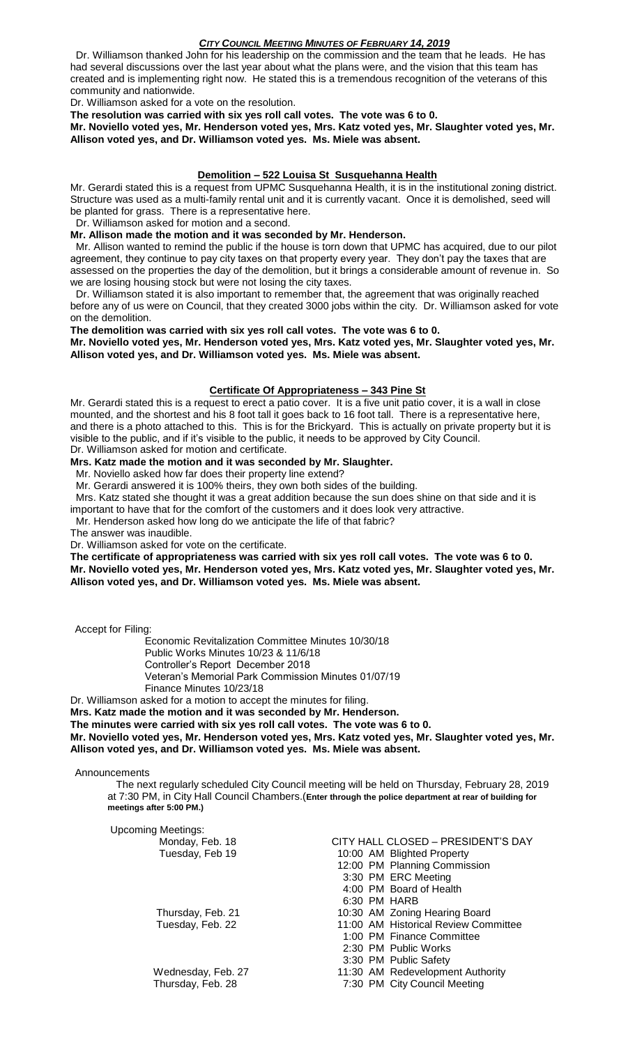# *CITY COUNCIL MEETING MINUTES OF FEBRUARY 14, 2019*

 Dr. Williamson thanked John for his leadership on the commission and the team that he leads. He has had several discussions over the last year about what the plans were, and the vision that this team has created and is implementing right now. He stated this is a tremendous recognition of the veterans of this community and nationwide.

Dr. Williamson asked for a vote on the resolution.

**The resolution was carried with six yes roll call votes. The vote was 6 to 0.**

**Mr. Noviello voted yes, Mr. Henderson voted yes, Mrs. Katz voted yes, Mr. Slaughter voted yes, Mr. Allison voted yes, and Dr. Williamson voted yes. Ms. Miele was absent.**

## **Demolition – 522 Louisa St Susquehanna Health**

Mr. Gerardi stated this is a request from UPMC Susquehanna Health, it is in the institutional zoning district. Structure was used as a multi-family rental unit and it is currently vacant. Once it is demolished, seed will be planted for grass. There is a representative here.

Dr. Williamson asked for motion and a second.

# **Mr. Allison made the motion and it was seconded by Mr. Henderson.**

 Mr. Allison wanted to remind the public if the house is torn down that UPMC has acquired, due to our pilot agreement, they continue to pay city taxes on that property every year. They don't pay the taxes that are assessed on the properties the day of the demolition, but it brings a considerable amount of revenue in. So we are losing housing stock but were not losing the city taxes.

 Dr. Williamson stated it is also important to remember that, the agreement that was originally reached before any of us were on Council, that they created 3000 jobs within the city. Dr. Williamson asked for vote on the demolition.

### **The demolition was carried with six yes roll call votes. The vote was 6 to 0.**

**Mr. Noviello voted yes, Mr. Henderson voted yes, Mrs. Katz voted yes, Mr. Slaughter voted yes, Mr. Allison voted yes, and Dr. Williamson voted yes. Ms. Miele was absent.**

### **Certificate Of Appropriateness – 343 Pine St**

Mr. Gerardi stated this is a request to erect a patio cover. It is a five unit patio cover, it is a wall in close mounted, and the shortest and his 8 foot tall it goes back to 16 foot tall. There is a representative here, and there is a photo attached to this. This is for the Brickyard. This is actually on private property but it is visible to the public, and if it's visible to the public, it needs to be approved by City Council. Dr. Williamson asked for motion and certificate.

### **Mrs. Katz made the motion and it was seconded by Mr. Slaughter.**

Mr. Noviello asked how far does their property line extend?

Mr. Gerardi answered it is 100% theirs, they own both sides of the building.

Mrs. Katz stated she thought it was a great addition because the sun does shine on that side and it is

important to have that for the comfort of the customers and it does look very attractive.

Mr. Henderson asked how long do we anticipate the life of that fabric?

The answer was inaudible.

Dr. Williamson asked for vote on the certificate.

**The certificate of appropriateness was carried with six yes roll call votes. The vote was 6 to 0. Mr. Noviello voted yes, Mr. Henderson voted yes, Mrs. Katz voted yes, Mr. Slaughter voted yes, Mr. Allison voted yes, and Dr. Williamson voted yes. Ms. Miele was absent.**

Accept for Filing:

Economic Revitalization Committee Minutes 10/30/18 Public Works Minutes 10/23 & 11/6/18 Controller's Report December 2018

- Veteran's Memorial Park Commission Minutes 01/07/19
- Finance Minutes 10/23/18

Dr. Williamson asked for a motion to accept the minutes for filing.

**Mrs. Katz made the motion and it was seconded by Mr. Henderson. The minutes were carried with six yes roll call votes. The vote was 6 to 0. Mr. Noviello voted yes, Mr. Henderson voted yes, Mrs. Katz voted yes, Mr. Slaughter voted yes, Mr. Allison voted yes, and Dr. Williamson voted yes. Ms. Miele was absent.**

Announcements

 The next regularly scheduled City Council meeting will be held on Thursday, February 28, 2019 at 7:30 PM, in City Hall Council Chambers.(**Enter through the police department at rear of building for meetings after 5:00 PM.)**

| <b>Upcoming Meetings:</b> |                                      |
|---------------------------|--------------------------------------|
| Monday, Feb. 18           | CITY HALL CLOSED - PRESIDENT'S DAY   |
| Tuesday, Feb 19           | 10:00 AM Blighted Property           |
|                           | 12:00 PM Planning Commission         |
|                           | 3:30 PM ERC Meeting                  |
|                           | 4:00 PM Board of Health              |
|                           | 6:30 PM HARB                         |
| Thursday, Feb. 21         | 10:30 AM Zoning Hearing Board        |
| Tuesday, Feb. 22          | 11:00 AM Historical Review Committee |
|                           | 1:00 PM Finance Committee            |
|                           | 2:30 PM Public Works                 |
|                           | 3:30 PM Public Safety                |
| Wednesday, Feb. 27        | 11:30 AM Redevelopment Authority     |
| Thursday, Feb. 28         | 7:30 PM City Council Meeting         |
|                           |                                      |